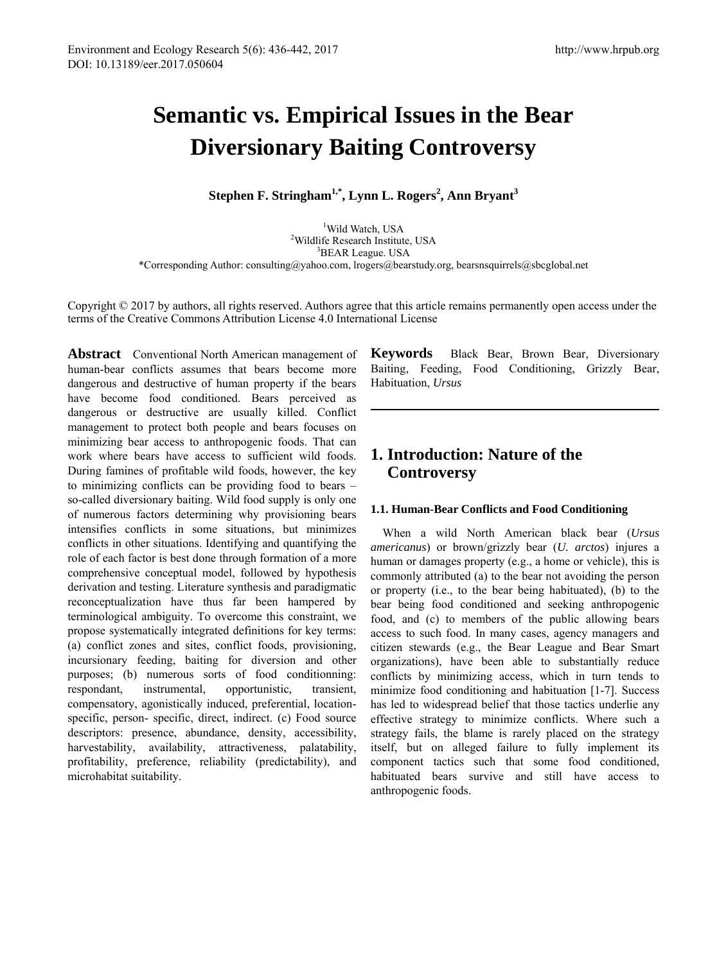# **Semantic vs. Empirical Issues in the Bear Diversionary Baiting Controversy**

Stephen F. Stringham<sup>1,\*</sup>, Lynn L. Rogers<sup>2</sup>, Ann Bryant<sup>3</sup>

<sup>1</sup>Wild Watch USA  $^{1}$ Wild Watch, USA<br><sup>2</sup>Wildlife Beseersh Institute Wildlife Research Institute, USA <sup>3</sup>BEAR League. USA \*Corresponding Author: consulting@yahoo.com, lrogers@bearstudy.org, bearsnsquirrels@sbcglobal.net

Copyright © 2017 by authors, all rights reserved. Authors agree that this article remains permanently open access under the terms of the Creative Commons Attribution License 4.0 International License

**Abstract** Conventional North American management of human-bear conflicts assumes that bears become more dangerous and destructive of human property if the bears have become food conditioned. Bears perceived as dangerous or destructive are usually killed. Conflict management to protect both people and bears focuses on minimizing bear access to anthropogenic foods. That can work where bears have access to sufficient wild foods. During famines of profitable wild foods, however, the key to minimizing conflicts can be providing food to bears – so-called diversionary baiting. Wild food supply is only one of numerous factors determining why provisioning bears intensifies conflicts in some situations, but minimizes conflicts in other situations. Identifying and quantifying the role of each factor is best done through formation of a more comprehensive conceptual model, followed by hypothesis derivation and testing. Literature synthesis and paradigmatic reconceptualization have thus far been hampered by terminological ambiguity. To overcome this constraint, we propose systematically integrated definitions for key terms: (a) conflict zones and sites, conflict foods, provisioning, incursionary feeding, baiting for diversion and other purposes; (b) numerous sorts of food conditionning: respondant, instrumental, opportunistic, transient, compensatory, agonistically induced, preferential, locationspecific, person- specific, direct, indirect. (c) Food source descriptors: presence, abundance, density, accessibility, harvestability, availability, attractiveness, palatability, profitability, preference, reliability (predictability), and microhabitat suitability.

**Keywords** Black Bear, Brown Bear, Diversionary Baiting, Feeding, Food Conditioning, Grizzly Bear, Habituation, *Ursus* 

# **1. Introduction: Nature of the Controversy**

#### **1.1. Human-Bear Conflicts and Food Conditioning**

When a wild North American black bear (*Ursus americanus*) or brown/grizzly bear (*U. arctos*) injures a human or damages property (e.g., a home or vehicle), this is commonly attributed (a) to the bear not avoiding the person or property (i.e., to the bear being habituated), (b) to the bear being food conditioned and seeking anthropogenic food, and (c) to members of the public allowing bears access to such food. In many cases, agency managers and citizen stewards (e.g., the Bear League and Bear Smart organizations), have been able to substantially reduce conflicts by minimizing access, which in turn tends to minimize food conditioning and habituation [1-7]. Success has led to widespread belief that those tactics underlie any effective strategy to minimize conflicts. Where such a strategy fails, the blame is rarely placed on the strategy itself, but on alleged failure to fully implement its component tactics such that some food conditioned, habituated bears survive and still have access to anthropogenic foods.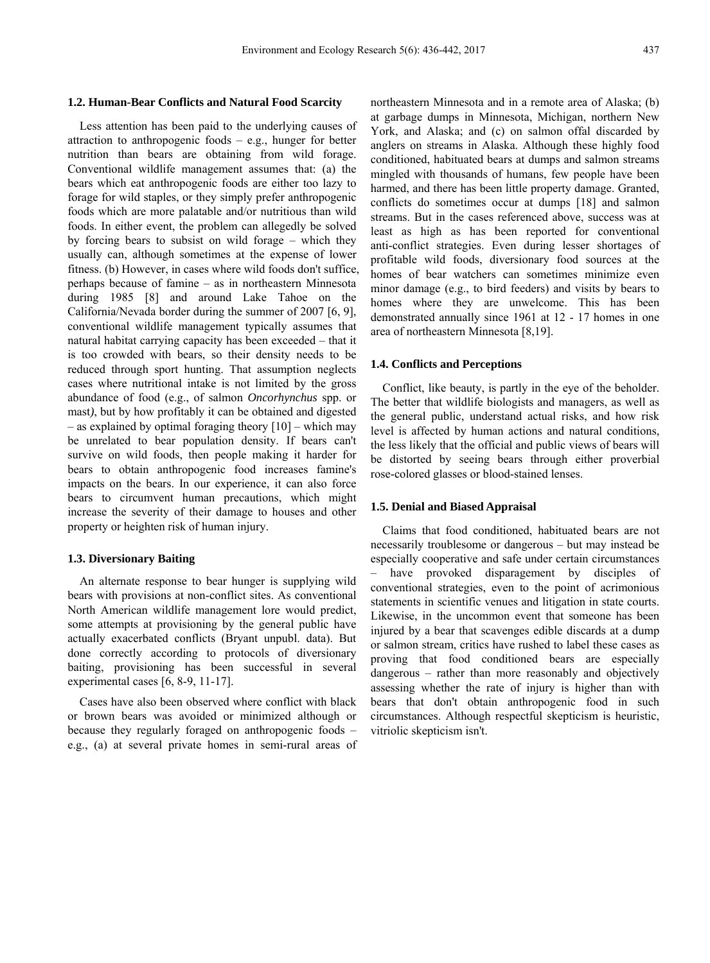#### **1.2. Human-Bear Conflicts and Natural Food Scarcity**

Less attention has been paid to the underlying causes of attraction to anthropogenic foods – e.g., hunger for better nutrition than bears are obtaining from wild forage. Conventional wildlife management assumes that: (a) the bears which eat anthropogenic foods are either too lazy to forage for wild staples, or they simply prefer anthropogenic foods which are more palatable and/or nutritious than wild foods. In either event, the problem can allegedly be solved by forcing bears to subsist on wild forage – which they usually can, although sometimes at the expense of lower fitness. (b) However, in cases where wild foods don't suffice, perhaps because of famine – as in northeastern Minnesota during 1985 [8] and around Lake Tahoe on the California/Nevada border during the summer of 2007 [6, 9], conventional wildlife management typically assumes that natural habitat carrying capacity has been exceeded – that it is too crowded with bears, so their density needs to be reduced through sport hunting. That assumption neglects cases where nutritional intake is not limited by the gross abundance of food (e.g., of salmon *Oncorhynchus* spp. or mast*)*, but by how profitably it can be obtained and digested – as explained by optimal foraging theory [10] – which may be unrelated to bear population density. If bears can't survive on wild foods, then people making it harder for bears to obtain anthropogenic food increases famine's impacts on the bears. In our experience, it can also force bears to circumvent human precautions, which might increase the severity of their damage to houses and other property or heighten risk of human injury.

# **1.3. Diversionary Baiting**

An alternate response to bear hunger is supplying wild bears with provisions at non-conflict sites. As conventional North American wildlife management lore would predict, some attempts at provisioning by the general public have actually exacerbated conflicts (Bryant unpubl. data). But done correctly according to protocols of diversionary baiting, provisioning has been successful in several experimental cases [6, 8-9, 11-17].

Cases have also been observed where conflict with black or brown bears was avoided or minimized although or because they regularly foraged on anthropogenic foods – e.g., (a) at several private homes in semi-rural areas of

northeastern Minnesota and in a remote area of Alaska; (b) at garbage dumps in Minnesota, Michigan, northern New York, and Alaska; and (c) on salmon offal discarded by anglers on streams in Alaska. Although these highly food conditioned, habituated bears at dumps and salmon streams mingled with thousands of humans, few people have been harmed, and there has been little property damage. Granted, conflicts do sometimes occur at dumps [18] and salmon streams. But in the cases referenced above, success was at least as high as has been reported for conventional anti-conflict strategies. Even during lesser shortages of profitable wild foods, diversionary food sources at the homes of bear watchers can sometimes minimize even minor damage (e.g., to bird feeders) and visits by bears to homes where they are unwelcome. This has been demonstrated annually since 1961 at 12 - 17 homes in one area of northeastern Minnesota [8,19].

## **1.4. Conflicts and Perceptions**

Conflict, like beauty, is partly in the eye of the beholder. The better that wildlife biologists and managers, as well as the general public, understand actual risks, and how risk level is affected by human actions and natural conditions, the less likely that the official and public views of bears will be distorted by seeing bears through either proverbial rose-colored glasses or blood-stained lenses.

#### **1.5. Denial and Biased Appraisal**

Claims that food conditioned, habituated bears are not necessarily troublesome or dangerous – but may instead be especially cooperative and safe under certain circumstances have provoked disparagement by disciples of conventional strategies, even to the point of acrimonious statements in scientific venues and litigation in state courts. Likewise, in the uncommon event that someone has been injured by a bear that scavenges edible discards at a dump or salmon stream, critics have rushed to label these cases as proving that food conditioned bears are especially dangerous – rather than more reasonably and objectively assessing whether the rate of injury is higher than with bears that don't obtain anthropogenic food in such circumstances. Although respectful skepticism is heuristic, vitriolic skepticism isn't.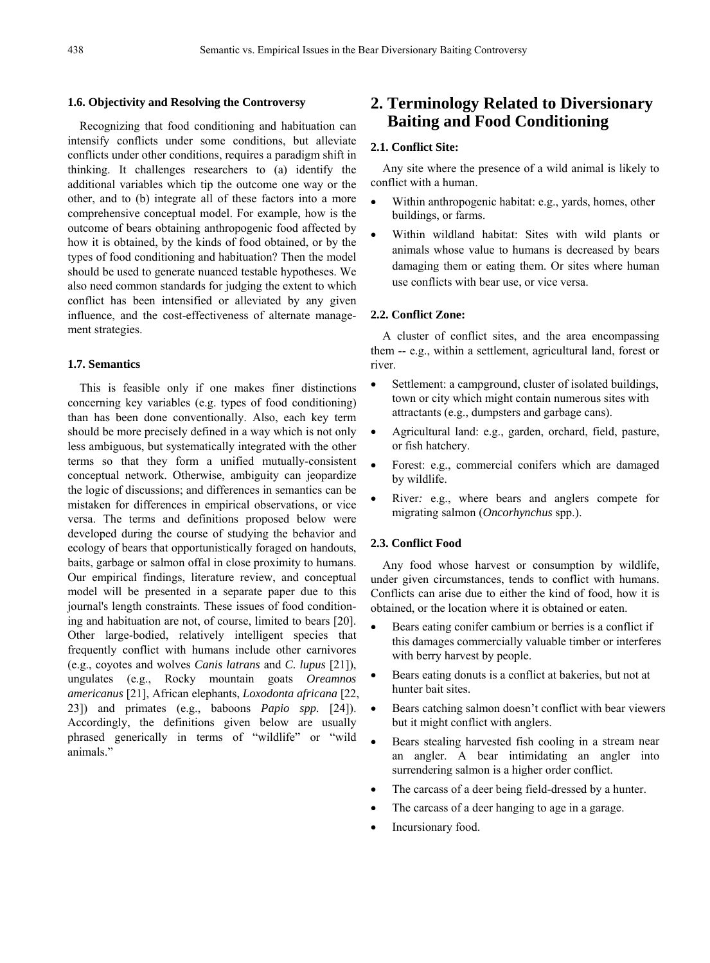#### **1.6. Objectivity and Resolving the Controversy**

Recognizing that food conditioning and habituation can intensify conflicts under some conditions, but alleviate conflicts under other conditions, requires a paradigm shift in thinking. It challenges researchers to (a) identify the additional variables which tip the outcome one way or the other, and to (b) integrate all of these factors into a more comprehensive conceptual model. For example, how is the outcome of bears obtaining anthropogenic food affected by how it is obtained, by the kinds of food obtained, or by the types of food conditioning and habituation? Then the model should be used to generate nuanced testable hypotheses. We also need common standards for judging the extent to which conflict has been intensified or alleviated by any given influence, and the cost-effectiveness of alternate management strategies.

# **1.7. Semantics**

This is feasible only if one makes finer distinctions concerning key variables (e.g. types of food conditioning) than has been done conventionally. Also, each key term should be more precisely defined in a way which is not only less ambiguous, but systematically integrated with the other terms so that they form a unified mutually-consistent conceptual network. Otherwise, ambiguity can jeopardize the logic of discussions; and differences in semantics can be mistaken for differences in empirical observations, or vice versa. The terms and definitions proposed below were developed during the course of studying the behavior and ecology of bears that opportunistically foraged on handouts, baits, garbage or salmon offal in close proximity to humans. Our empirical findings, literature review, and conceptual model will be presented in a separate paper due to this journal's length constraints. These issues of food conditioning and habituation are not, of course, limited to bears [20]. Other large-bodied, relatively intelligent species that frequently conflict with humans include other carnivores (e.g., coyotes and wolves *Canis latrans* and *C. lupus* [21]), ungulates (e.g., Rocky mountain goats *Oreamnos americanus* [21], African elephants, *Loxodonta africana* [22, 23]) and primates (e.g., baboons *Papio spp.* [24]). Accordingly, the definitions given below are usually phrased generically in terms of "wildlife" or "wild animals."

# **2. Terminology Related to Diversionary Baiting and Food Conditioning**

# **2.1. Conflict Site:**

Any site where the presence of a wild animal is likely to conflict with a human.

- Within anthropogenic habitat: e.g., yards, homes, other buildings, or farms.
- Within wildland habitat: Sites with wild plants or animals whose value to humans is decreased by bears damaging them or eating them. Or sites where human use conflicts with bear use, or vice versa.

### **2.2. Conflict Zone:**

A cluster of conflict sites, and the area encompassing them -- e.g., within a settlement, agricultural land, forest or river.

- Settlement: a campground, cluster of isolated buildings, town or city which might contain numerous sites with attractants (e.g., dumpsters and garbage cans).
- Agricultural land: e.g., garden, orchard, field, pasture, or fish hatchery.
- Forest: e.g., commercial conifers which are damaged by wildlife.
- River*:* e.g., where bears and anglers compete for migrating salmon (*Oncorhynchus* spp.).

## **2.3. Conflict Food**

Any food whose harvest or consumption by wildlife, under given circumstances, tends to conflict with humans. Conflicts can arise due to either the kind of food, how it is obtained, or the location where it is obtained or eaten.

- Bears eating conifer cambium or berries is a conflict if this damages commercially valuable timber or interferes with berry harvest by people.
- Bears eating donuts is a conflict at bakeries, but not at hunter bait sites.
- Bears catching salmon doesn't conflict with bear viewers but it might conflict with anglers.
- Bears stealing harvested fish cooling in a stream near an angler. A bear intimidating an angler into surrendering salmon is a higher order conflict.
- The carcass of a deer being field-dressed by a hunter.
- The carcass of a deer hanging to age in a garage.
- Incursionary food.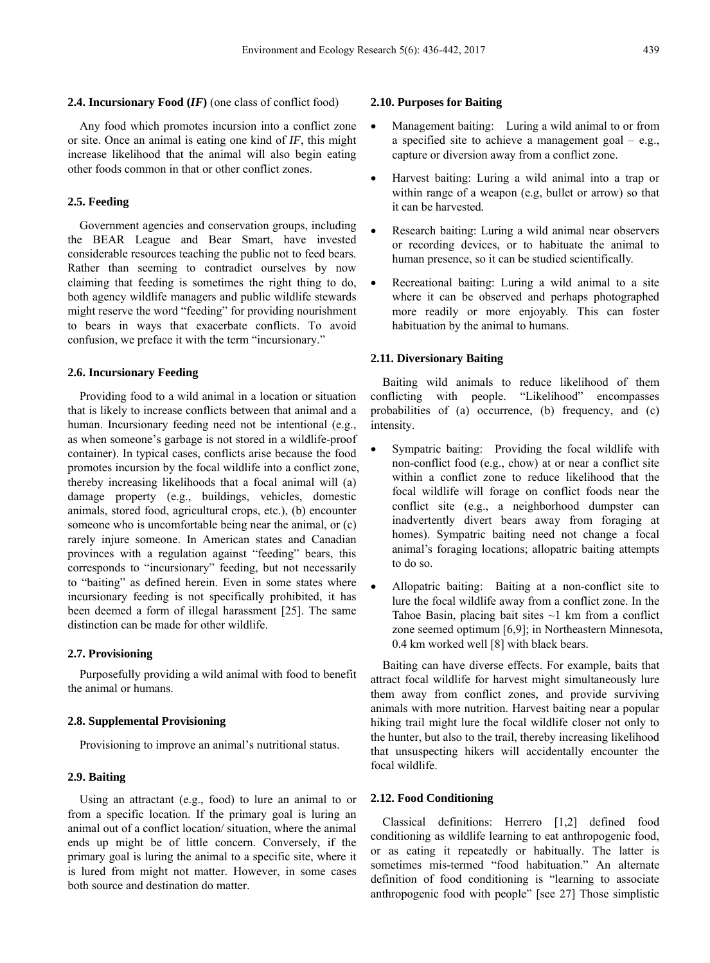#### **2.4. Incursionary Food (***IF***)** (one class of conflict food)

Any food which promotes incursion into a conflict zone or site. Once an animal is eating one kind of *IF*, this might increase likelihood that the animal will also begin eating other foods common in that or other conflict zones.

#### **2.5. Feeding**

Government agencies and conservation groups, including the BEAR League and Bear Smart, have invested considerable resources teaching the public not to feed bears. Rather than seeming to contradict ourselves by now claiming that feeding is sometimes the right thing to do, both agency wildlife managers and public wildlife stewards might reserve the word "feeding" for providing nourishment to bears in ways that exacerbate conflicts. To avoid confusion, we preface it with the term "incursionary."

#### **2.6. Incursionary Feeding**

Providing food to a wild animal in a location or situation that is likely to increase conflicts between that animal and a human. Incursionary feeding need not be intentional (e.g., as when someone's garbage is not stored in a wildlife-proof container). In typical cases, conflicts arise because the food promotes incursion by the focal wildlife into a conflict zone, thereby increasing likelihoods that a focal animal will (a) damage property (e.g., buildings, vehicles, domestic animals, stored food, agricultural crops, etc.), (b) encounter someone who is uncomfortable being near the animal, or (c) rarely injure someone. In American states and Canadian provinces with a regulation against "feeding" bears, this corresponds to "incursionary" feeding, but not necessarily to "baiting" as defined herein. Even in some states where incursionary feeding is not specifically prohibited, it has been deemed a form of illegal harassment [25]. The same distinction can be made for other wildlife.

#### **2.7. Provisioning**

Purposefully providing a wild animal with food to benefit the animal or humans.

#### **2.8. Supplemental Provisioning**

Provisioning to improve an animal's nutritional status.

#### **2.9. Baiting**

Using an attractant (e.g., food) to lure an animal to or from a specific location. If the primary goal is luring an animal out of a conflict location/ situation, where the animal ends up might be of little concern. Conversely, if the primary goal is luring the animal to a specific site, where it is lured from might not matter. However, in some cases both source and destination do matter.

## **2.10. Purposes for Baiting**

- Management baiting: Luring a wild animal to or from a specified site to achieve a management goal  $-$  e.g., capture or diversion away from a conflict zone.
- Harvest baiting: Luring a wild animal into a trap or within range of a weapon (e.g, bullet or arrow) so that it can be harvested*.*
- Research baiting: Luring a wild animal near observers or recording devices, or to habituate the animal to human presence, so it can be studied scientifically.
- Recreational baiting: Luring a wild animal to a site where it can be observed and perhaps photographed more readily or more enjoyably. This can foster habituation by the animal to humans.

#### **2.11. Diversionary Baiting**

Baiting wild animals to reduce likelihood of them conflicting with people. "Likelihood" encompasses probabilities of (a) occurrence, (b) frequency, and (c) intensity.

- Sympatric baiting: Providing the focal wildlife with non-conflict food (e.g., chow) at or near a conflict site within a conflict zone to reduce likelihood that the focal wildlife will forage on conflict foods near the conflict site (e.g., a neighborhood dumpster can inadvertently divert bears away from foraging at homes). Sympatric baiting need not change a focal animal's foraging locations; allopatric baiting attempts to do so.
- Allopatric baiting: Baiting at a non-conflict site to lure the focal wildlife away from a conflict zone. In the Tahoe Basin, placing bait sites  $\sim$ 1 km from a conflict zone seemed optimum [6,9]; in Northeastern Minnesota, 0.4 km worked well [8] with black bears.

Baiting can have diverse effects. For example, baits that attract focal wildlife for harvest might simultaneously lure them away from conflict zones, and provide surviving animals with more nutrition. Harvest baiting near a popular hiking trail might lure the focal wildlife closer not only to the hunter, but also to the trail, thereby increasing likelihood that unsuspecting hikers will accidentally encounter the focal wildlife.

#### **2.12. Food Conditioning**

Classical definitions: Herrero [1,2] defined food conditioning as wildlife learning to eat anthropogenic food, or as eating it repeatedly or habitually. The latter is sometimes mis-termed "food habituation." An alternate definition of food conditioning is "learning to associate anthropogenic food with people" [see 27] Those simplistic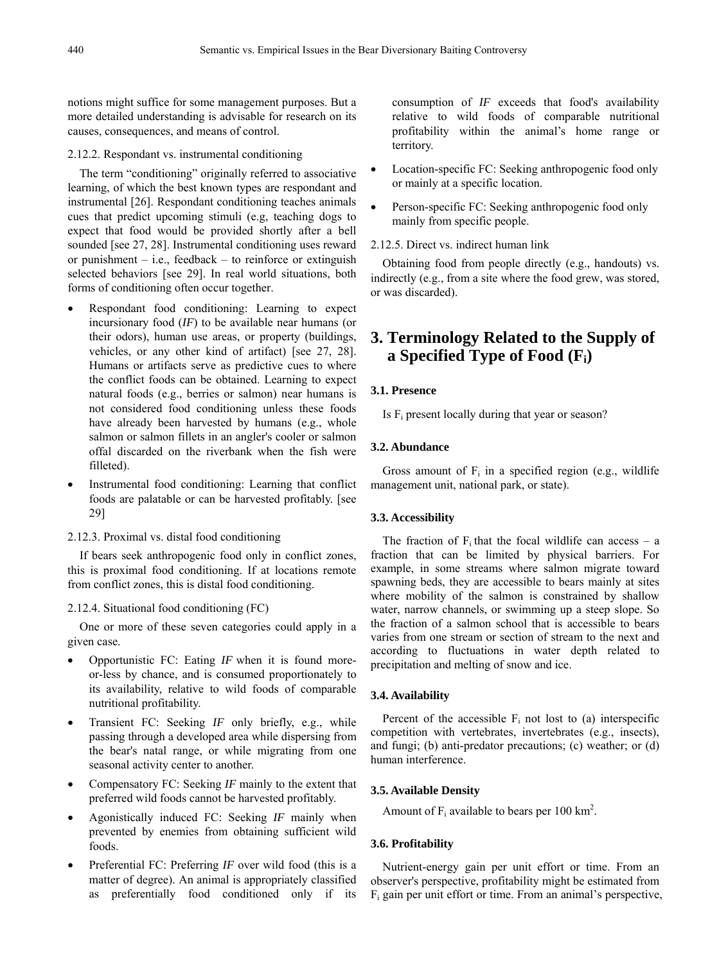notions might suffice for some management purposes. But a more detailed understanding is advisable for research on its causes, consequences, and means of control.

#### 2.12.2. Respondant vs. instrumental conditioning

The term "conditioning" originally referred to associative learning, of which the best known types are respondant and instrumental [26]. Respondant conditioning teaches animals cues that predict upcoming stimuli (e.g, teaching dogs to expect that food would be provided shortly after a bell sounded [see 27, 28]. Instrumental conditioning uses reward or punishment  $-$  i.e., feedback  $-$  to reinforce or extinguish selected behaviors [see 29]. In real world situations, both forms of conditioning often occur together.

- Respondant food conditioning: Learning to expect incursionary food (*IF*) to be available near humans (or their odors), human use areas, or property (buildings, vehicles, or any other kind of artifact) [see 27, 28]. Humans or artifacts serve as predictive cues to where the conflict foods can be obtained. Learning to expect natural foods (e.g., berries or salmon) near humans is not considered food conditioning unless these foods have already been harvested by humans (e.g., whole salmon or salmon fillets in an angler's cooler or salmon offal discarded on the riverbank when the fish were filleted).
- Instrumental food conditioning: Learning that conflict foods are palatable or can be harvested profitably. [see 29]

#### 2.12.3. Proximal vs. distal food conditioning

If bears seek anthropogenic food only in conflict zones, this is proximal food conditioning. If at locations remote from conflict zones, this is distal food conditioning.

#### 2.12.4. Situational food conditioning (FC)

One or more of these seven categories could apply in a given case.

- Opportunistic FC: Eating *IF* when it is found moreor-less by chance, and is consumed proportionately to its availability, relative to wild foods of comparable nutritional profitability.
- Transient FC: Seeking *IF* only briefly, e.g., while passing through a developed area while dispersing from the bear's natal range, or while migrating from one seasonal activity center to another.
- Compensatory FC: Seeking *IF* mainly to the extent that preferred wild foods cannot be harvested profitably.
- Agonistically induced FC: Seeking *IF* mainly when prevented by enemies from obtaining sufficient wild foods.
- Preferential FC: Preferring *IF* over wild food (this is a matter of degree). An animal is appropriately classified as preferentially food conditioned only if its

consumption of *IF* exceeds that food's availability relative to wild foods of comparable nutritional profitability within the animal's home range or territory.

- Location-specific FC: Seeking anthropogenic food only or mainly at a specific location.
- Person-specific FC: Seeking anthropogenic food only mainly from specific people.

# 2.12.5. Direct vs. indirect human link

Obtaining food from people directly (e.g., handouts) vs. indirectly (e.g., from a site where the food grew, was stored, or was discarded).

# **3. Terminology Related to the Supply of a Specified Type of Food (Fi)**

## **3.1. Presence**

Is  $F_i$  present locally during that year or season?

# **3.2. Abundance**

Gross amount of  $F_i$  in a specified region (e.g., wildlife management unit, national park, or state).

#### **3.3. Accessibility**

The fraction of  $F_i$  that the focal wildlife can access – a fraction that can be limited by physical barriers. For example, in some streams where salmon migrate toward spawning beds, they are accessible to bears mainly at sites where mobility of the salmon is constrained by shallow water, narrow channels, or swimming up a steep slope. So the fraction of a salmon school that is accessible to bears varies from one stream or section of stream to the next and according to fluctuations in water depth related to precipitation and melting of snow and ice.

#### **3.4. Availability**

Percent of the accessible  $F_i$  not lost to (a) interspecific competition with vertebrates, invertebrates (e.g., insects), and fungi; (b) anti-predator precautions; (c) weather; or (d) human interference.

# **3.5. Available Density**

Amount of  $F_i$  available to bears per 100 km<sup>2</sup>.

#### **3.6. Profitability**

Nutrient-energy gain per unit effort or time. From an observer's perspective, profitability might be estimated from Fi gain per unit effort or time. From an animal's perspective,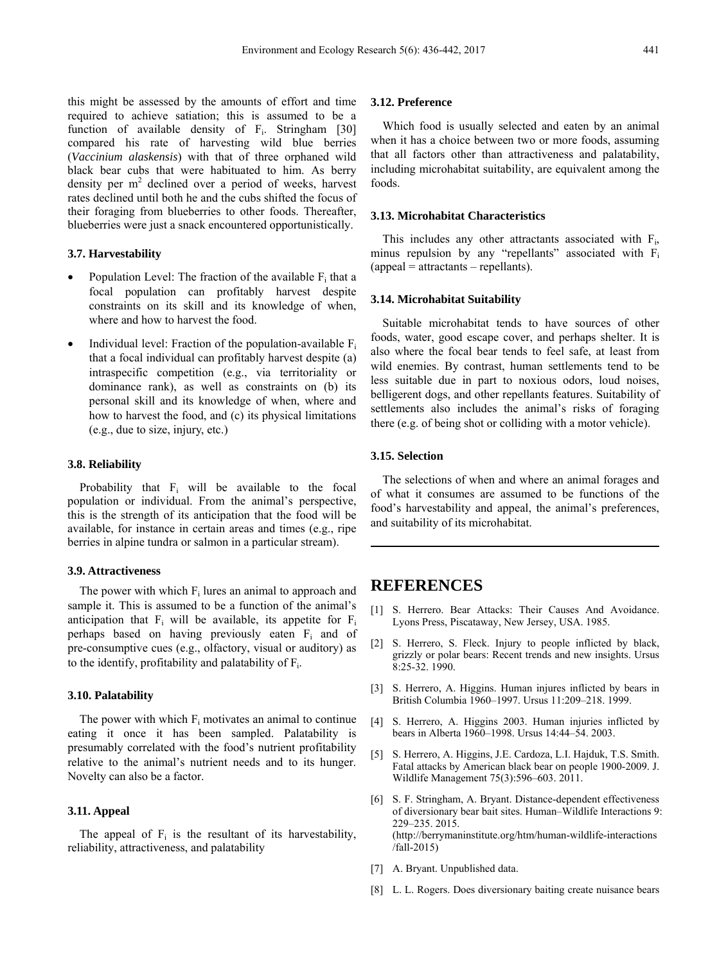this might be assessed by the amounts of effort and time required to achieve satiation; this is assumed to be a function of available density of  $F_i$ . Stringham [30] compared his rate of harvesting wild blue berries (*Vaccinium alaskensis*) with that of three orphaned wild black bear cubs that were habituated to him. As berry density per  $m<sup>2</sup>$  declined over a period of weeks, harvest rates declined until both he and the cubs shifted the focus of their foraging from blueberries to other foods. Thereafter, blueberries were just a snack encountered opportunistically.

#### **3.7. Harvestability**

- Population Level: The fraction of the available  $F_i$  that a focal population can profitably harvest despite constraints on its skill and its knowledge of when, where and how to harvest the food.
- Individual level: Fraction of the population-available Fi that a focal individual can profitably harvest despite (a) intraspecific competition (e.g., via territoriality or dominance rank), as well as constraints on (b) its personal skill and its knowledge of when, where and how to harvest the food, and (c) its physical limitations (e.g., due to size, injury, etc.)

#### **3.8. Reliability**

Probability that F<sub>i</sub> will be available to the focal population or individual. From the animal's perspective, this is the strength of its anticipation that the food will be available, for instance in certain areas and times (e.g., ripe berries in alpine tundra or salmon in a particular stream).

#### **3.9. Attractiveness**

The power with which  $F_i$  lures an animal to approach and sample it. This is assumed to be a function of the animal's anticipation that  $F_i$  will be available, its appetite for  $F_i$ perhaps based on having previously eaten Fi and of pre-consumptive cues (e.g., olfactory, visual or auditory) as to the identify, profitability and palatability of  $F_i$ .

#### **3.10. Palatability**

The power with which  $F_i$  motivates an animal to continue eating it once it has been sampled. Palatability is presumably correlated with the food's nutrient profitability relative to the animal's nutrient needs and to its hunger. Novelty can also be a factor.

## **3.11. Appeal**

The appeal of  $F_i$  is the resultant of its harvestability, reliability, attractiveness, and palatability

#### **3.12. Preference**

Which food is usually selected and eaten by an animal when it has a choice between two or more foods, assuming that all factors other than attractiveness and palatability, including microhabitat suitability, are equivalent among the foods.

#### **3.13. Microhabitat Characteristics**

This includes any other attractants associated with Fi, minus repulsion by any "repellants" associated with  $F_i$  $(appeal = attractants - repellants).$ 

#### **3.14. Microhabitat Suitability**

Suitable microhabitat tends to have sources of other foods, water, good escape cover, and perhaps shelter. It is also where the focal bear tends to feel safe, at least from wild enemies. By contrast, human settlements tend to be less suitable due in part to noxious odors, loud noises, belligerent dogs, and other repellants features. Suitability of settlements also includes the animal's risks of foraging there (e.g. of being shot or colliding with a motor vehicle).

## **3.15. Selection**

The selections of when and where an animal forages and of what it consumes are assumed to be functions of the food's harvestability and appeal, the animal's preferences, and suitability of its microhabitat.

# **REFERENCES**

- [1] S. Herrero. Bear Attacks: Their Causes And Avoidance. Lyons Press, Piscataway, New Jersey, USA. 1985.
- [2] S. Herrero, S. Fleck. Injury to people inflicted by black, grizzly or polar bears: Recent trends and new insights. Ursus 8:25-32. 1990.
- [3] S. Herrero, A. Higgins. Human injures inflicted by bears in British Columbia 1960–1997. Ursus 11:209–218. 1999.
- [4] S. Herrero, A. Higgins 2003. Human injuries inflicted by bears in Alberta 1960–1998. Ursus 14:44–54. 2003.
- [5] S. Herrero, A. Higgins, J.E. Cardoza, L.I. Hajduk, T.S. Smith. Fatal attacks by American black bear on people 1900-2009. J. Wildlife Management 75(3):596–603. 2011.
- [6] S. F. Stringham, A. Bryant. Distance-dependent effectiveness of diversionary bear bait sites. Human–Wildlife Interactions 9: 229–235. 2015. [\(http://berrymaninstitute.org/htm/human-wildlife-interactions](http://berrymaninstitute.org/htm/human-wildlife-interactions/fall-2015) [/fall-2015\)](http://berrymaninstitute.org/htm/human-wildlife-interactions/fall-2015)
- [7] A. Bryant. Unpublished data.
- [8] L. L. Rogers. Does diversionary baiting create nuisance bears